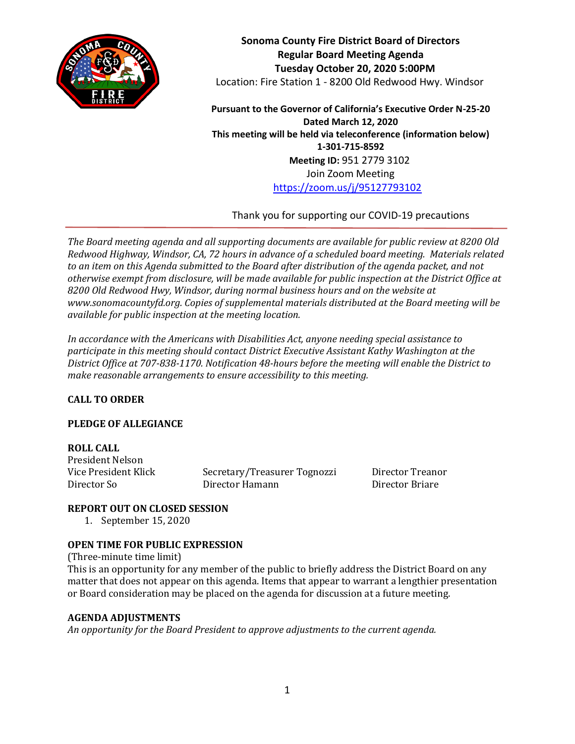

**Sonoma County Fire District Board of Directors Regular Board Meeting Agenda Tuesday October 20, 2020 5:00PM** Location: Fire Station 1 - 8200 Old Redwood Hwy. Windsor

**Pursuant to the Governor of California's Executive Order N-25-20 Dated March 12, 2020 This meeting will be held via teleconference (information below) 1-301-715-8592 Meeting ID:** 951 2779 3102 Join Zoom Meeting <https://zoom.us/j/95127793102>

Thank you for supporting our COVID-19 precautions

*The Board meeting agenda and all supporting documents are available for public review at 8200 Old Redwood Highway, Windsor, CA, 72 hours in advance of a scheduled board meeting. Materials related to an item on this Agenda submitted to the Board after distribution of the agenda packet, and not otherwise exempt from disclosure, will be made available for public inspection at the District Office at 8200 Old Redwood Hwy, Windsor, during normal business hours and on the website at www.sonomacountyfd.org. Copies of supplemental materials distributed at the Board meeting will be available for public inspection at the meeting location.*

*In accordance with the Americans with Disabilities Act, anyone needing special assistance to participate in this meeting should contact District Executive Assistant Kathy Washington at the District Office at 707-838-1170. Notification 48-hours before the meeting will enable the District to make reasonable arrangements to ensure accessibility to this meeting.*

# **CALL TO ORDER**

# **PLEDGE OF ALLEGIANCE**

### **ROLL CALL**

President Nelson

Vice President Klick Secretary/Treasurer Tognozzi Director Treanor Director So Director Hamann Director Briare

### **REPORT OUT ON CLOSED SESSION**

1. September 15, 2020

# **OPEN TIME FOR PUBLIC EXPRESSION**

(Three-minute time limit) This is an opportunity for any member of the public to briefly address the District Board on any matter that does not appear on this agenda. Items that appear to warrant a lengthier presentation or Board consideration may be placed on the agenda for discussion at a future meeting.

### **AGENDA ADJUSTMENTS**

*An opportunity for the Board President to approve adjustments to the current agenda.*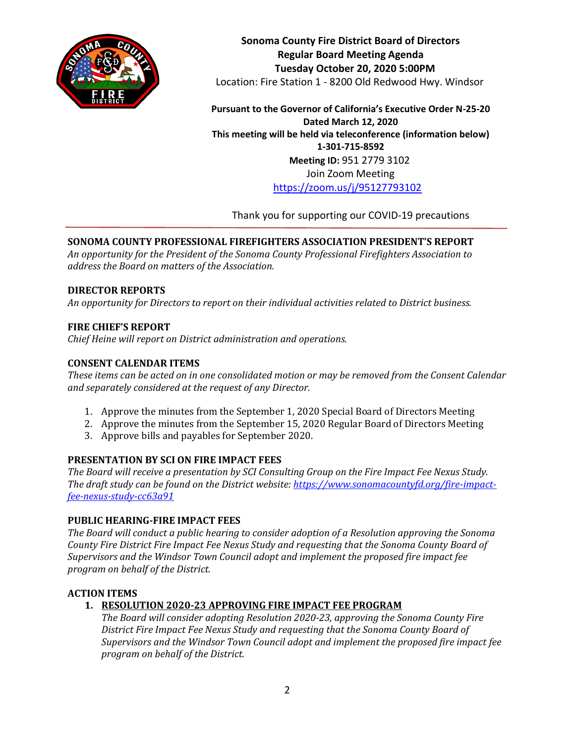

**Sonoma County Fire District Board of Directors Regular Board Meeting Agenda Tuesday October 20, 2020 5:00PM** Location: Fire Station 1 - 8200 Old Redwood Hwy. Windsor

**Pursuant to the Governor of California's Executive Order N-25-20 Dated March 12, 2020 This meeting will be held via teleconference (information below) 1-301-715-8592 Meeting ID:** 951 2779 3102 Join Zoom Meeting <https://zoom.us/j/95127793102>

Thank you for supporting our COVID-19 precautions

# **SONOMA COUNTY PROFESSIONAL FIREFIGHTERS ASSOCIATION PRESIDENT'S REPORT**

*An opportunity for the President of the Sonoma County Professional Firefighters Association to address the Board on matters of the Association.*

### **DIRECTOR REPORTS**

*An opportunity for Directors to report on their individual activities related to District business.*

### **FIRE CHIEF'S REPORT**

*Chief Heine will report on District administration and operations.*

### **CONSENT CALENDAR ITEMS**

*These items can be acted on in one consolidated motion or may be removed from the Consent Calendar and separately considered at the request of any Director.*

- 1. Approve the minutes from the September 1, 2020 Special Board of Directors Meeting
- 2. Approve the minutes from the September 15, 2020 Regular Board of Directors Meeting
- 3. Approve bills and payables for September 2020.

# **PRESENTATION BY SCI ON FIRE IMPACT FEES**

*The Board will receive a presentation by SCI Consulting Group on the Fire Impact Fee Nexus Study. The draft study can be found on the District website[: https://www.sonomacountyfd.org/fire-impact](https://www.sonomacountyfd.org/fire-impact-fee-nexus-study-cc63a91)[fee-nexus-study-cc63a91](https://www.sonomacountyfd.org/fire-impact-fee-nexus-study-cc63a91)*

### **PUBLIC HEARING-FIRE IMPACT FEES**

*The Board will conduct a public hearing to consider adoption of a Resolution approving the Sonoma County Fire District Fire Impact Fee Nexus Study and requesting that the Sonoma County Board of Supervisors and the Windsor Town Council adopt and implement the proposed fire impact fee program on behalf of the District.*

# **ACTION ITEMS**

# **1. RESOLUTION 2020-23 APPROVING FIRE IMPACT FEE PROGRAM**

*The Board will consider adopting Resolution 2020-23, approving the Sonoma County Fire District Fire Impact Fee Nexus Study and requesting that the Sonoma County Board of Supervisors and the Windsor Town Council adopt and implement the proposed fire impact fee program on behalf of the District.*